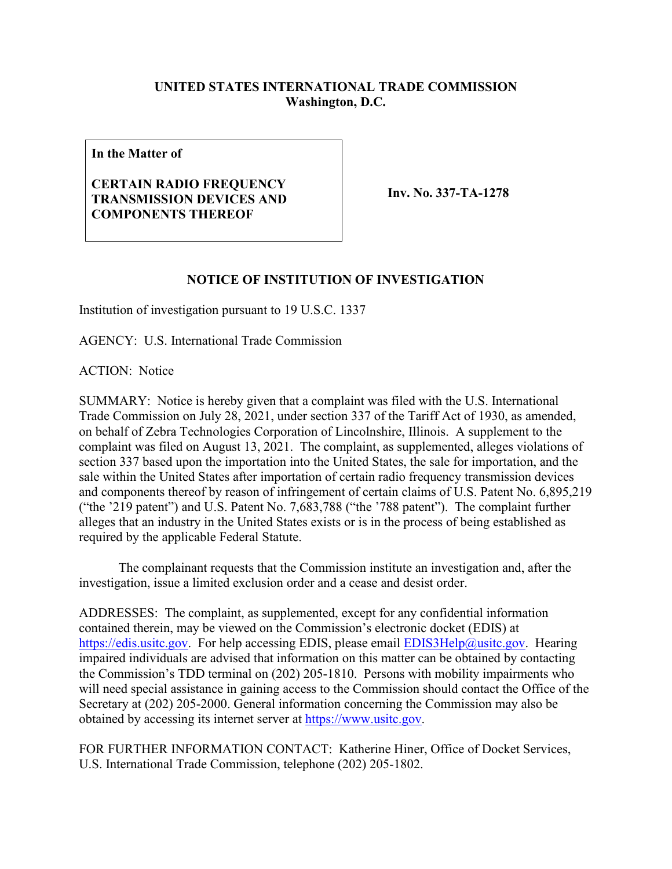## **UNITED STATES INTERNATIONAL TRADE COMMISSION Washington, D.C.**

**In the Matter of**

## **CERTAIN RADIO FREQUENCY TRANSMISSION DEVICES AND COMPONENTS THEREOF**

**Inv. No. 337-TA-1278**

## **NOTICE OF INSTITUTION OF INVESTIGATION**

Institution of investigation pursuant to 19 U.S.C. 1337

AGENCY: U.S. International Trade Commission

ACTION: Notice

SUMMARY: Notice is hereby given that a complaint was filed with the U.S. International Trade Commission on July 28, 2021, under section 337 of the Tariff Act of 1930, as amended, on behalf of Zebra Technologies Corporation of Lincolnshire, Illinois. A supplement to the complaint was filed on August 13, 2021. The complaint, as supplemented, alleges violations of section 337 based upon the importation into the United States, the sale for importation, and the sale within the United States after importation of certain radio frequency transmission devices and components thereof by reason of infringement of certain claims of U.S. Patent No. 6,895,219 ("the '219 patent") and U.S. Patent No. 7,683,788 ("the '788 patent"). The complaint further alleges that an industry in the United States exists or is in the process of being established as required by the applicable Federal Statute.

The complainant requests that the Commission institute an investigation and, after the investigation, issue a limited exclusion order and a cease and desist order.

ADDRESSES: The complaint, as supplemented, except for any confidential information contained therein, may be viewed on the Commission's electronic docket (EDIS) at [https://edis.usitc.gov.](https://edis.usitc.gov/) For help accessing EDIS, please email **EDIS3Help@usitc.gov**. Hearing impaired individuals are advised that information on this matter can be obtained by contacting the Commission's TDD terminal on (202) 205-1810. Persons with mobility impairments who will need special assistance in gaining access to the Commission should contact the Office of the Secretary at (202) 205-2000. General information concerning the Commission may also be obtained by accessing its internet server at [https://www.usitc.gov.](https://www.usitc.gov/)

FOR FURTHER INFORMATION CONTACT: Katherine Hiner, Office of Docket Services, U.S. International Trade Commission, telephone (202) 205-1802.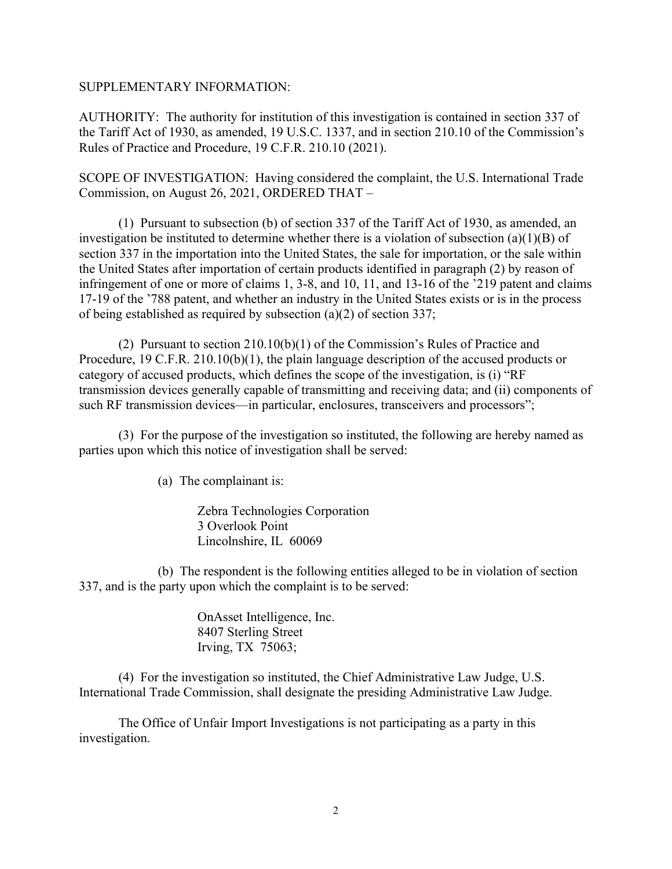## SUPPLEMENTARY INFORMATION:

AUTHORITY: The authority for institution of this investigation is contained in section 337 of the Tariff Act of 1930, as amended, 19 U.S.C. 1337, and in section 210.10 of the Commission's Rules of Practice and Procedure, 19 C.F.R. 210.10 (2021).

SCOPE OF INVESTIGATION: Having considered the complaint, the U.S. International Trade Commission, on August 26, 2021, ORDERED THAT –

(1) Pursuant to subsection (b) of section 337 of the Tariff Act of 1930, as amended, an investigation be instituted to determine whether there is a violation of subsection (a)(1)(B) of section 337 in the importation into the United States, the sale for importation, or the sale within the United States after importation of certain products identified in paragraph (2) by reason of infringement of one or more of claims 1, 3-8, and 10, 11, and 13-16 of the '219 patent and claims 17-19 of the '788 patent, and whether an industry in the United States exists or is in the process of being established as required by subsection (a)(2) of section 337;

(2) Pursuant to section 210.10(b)(1) of the Commission's Rules of Practice and Procedure, 19 C.F.R. 210.10(b)(1), the plain language description of the accused products or category of accused products, which defines the scope of the investigation, is (i) "RF transmission devices generally capable of transmitting and receiving data; and (ii) components of such RF transmission devices—in particular, enclosures, transceivers and processors";

(3) For the purpose of the investigation so instituted, the following are hereby named as parties upon which this notice of investigation shall be served:

(a) The complainant is:

Zebra Technologies Corporation 3 Overlook Point Lincolnshire, IL 60069

(b) The respondent is the following entities alleged to be in violation of section 337, and is the party upon which the complaint is to be served:

> OnAsset Intelligence, Inc. 8407 Sterling Street Irving, TX 75063;

(4) For the investigation so instituted, the Chief Administrative Law Judge, U.S. International Trade Commission, shall designate the presiding Administrative Law Judge.

The Office of Unfair Import Investigations is not participating as a party in this investigation.